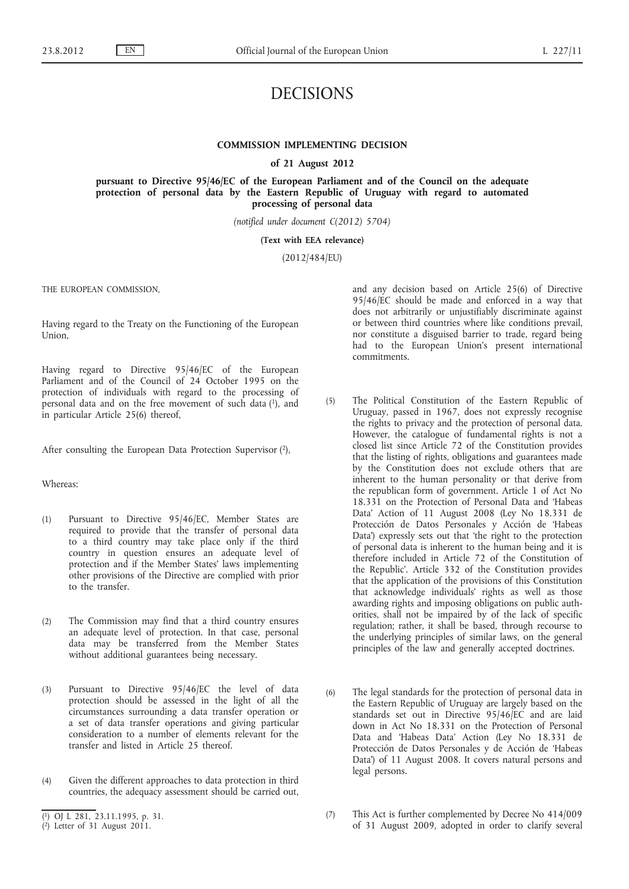# DECISIONS

## **COMMISSION IMPLEMENTING DECISION**

**of 21 August 2012**

**pursuant to Directive 95/46/EC of the European Parliament and of the Council on the adequate protection of personal data by the Eastern Republic of Uruguay with regard to automated processing of personal data**

*(notified under document C(2012) 5704)*

## **(Text with EEA relevance)**

(2012/484/EU)

THE EUROPEAN COMMISSION,

Having regard to the Treaty on the Functioning of the European Union,

Having regard to Directive 95/46/EC of the European Parliament and of the Council of 24 October 1995 on the protection of individuals with regard to the processing of personal data and on the free movement of such data (1), and in particular Article 25(6) thereof,

After consulting the European Data Protection Supervisor (2),

### Whereas:

- (1) Pursuant to Directive 95/46/EC, Member States are required to provide that the transfer of personal data to a third country may take place only if the third country in question ensures an adequate level of protection and if the Member States' laws implementing other provisions of the Directive are complied with prior to the transfer.
- (2) The Commission may find that a third country ensures an adequate level of protection. In that case, personal data may be transferred from the Member States without additional guarantees being necessary.
- (3) Pursuant to Directive 95/46/EC the level of data protection should be assessed in the light of all the circumstances surrounding a data transfer operation or a set of data transfer operations and giving particular consideration to a number of elements relevant for the transfer and listed in Article 25 thereof.
- (4) Given the different approaches to data protection in third countries, the adequacy assessment should be carried out,

and any decision based on Article 25(6) of Directive 95/46/EC should be made and enforced in a way that does not arbitrarily or unjustifiably discriminate against or between third countries where like conditions prevail, nor constitute a disguised barrier to trade, regard being had to the European Union's present international commitments.

- (5) The Political Constitution of the Eastern Republic of Uruguay, passed in 1967, does not expressly recognise the rights to privacy and the protection of personal data. However, the catalogue of fundamental rights is not a closed list since Article 72 of the Constitution provides that the listing of rights, obligations and guarantees made by the Constitution does not exclude others that are inherent to the human personality or that derive from the republican form of government. Article 1 of Act No 18.331 on the Protection of Personal Data and 'Habeas Data' Action of 11 August 2008 (Ley No 18.331 de Protección de Datos Personales y Acción de 'Habeas Data') expressly sets out that 'the right to the protection of personal data is inherent to the human being and it is therefore included in Article 72 of the Constitution of the Republic'. Article 332 of the Constitution provides that the application of the provisions of this Constitution that acknowledge individuals' rights as well as those awarding rights and imposing obligations on public authorities, shall not be impaired by of the lack of specific regulation; rather, it shall be based, through recourse to the underlying principles of similar laws, on the general principles of the law and generally accepted doctrines.
- (6) The legal standards for the protection of personal data in the Eastern Republic of Uruguay are largely based on the standards set out in Directive 95/46/EC and are laid down in Act No 18.331 on the Protection of Personal Data and 'Habeas Data' Action (Ley No 18.331 de Protección de Datos Personales y de Acción de 'Habeas Data') of 11 August 2008. It covers natural persons and legal persons.
- (7) This Act is further complemented by Decree No 414/009 of 31 August 2009, adopted in order to clarify several

<sup>(</sup> 1) OJ L 281, 23.11.1995, p. 31.

 $(2)$  Letter of 31 August 2011.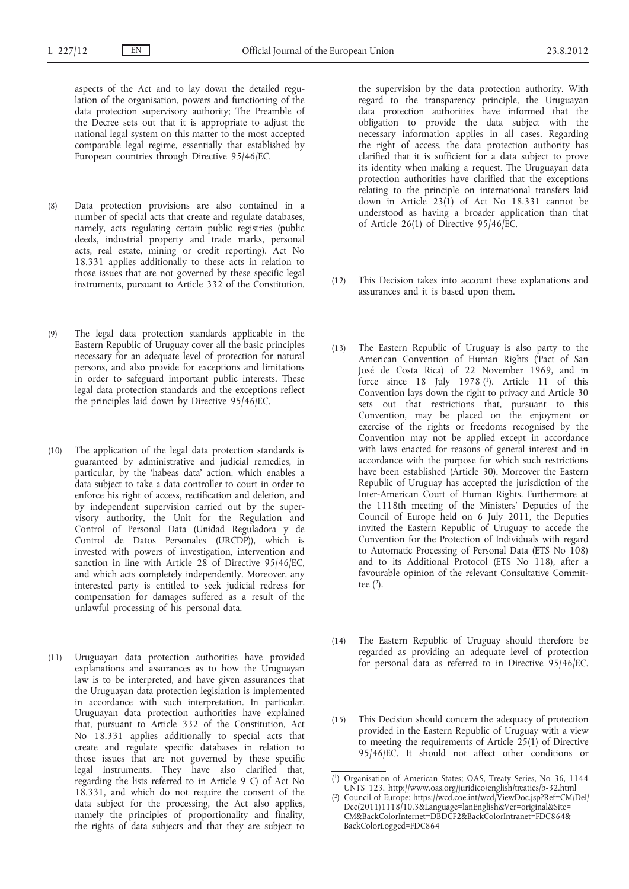aspects of the Act and to lay down the detailed regulation of the organisation, powers and functioning of the data protection supervisory authority; The Preamble of the Decree sets out that it is appropriate to adjust the national legal system on this matter to the most accepted comparable legal regime, essentially that established by European countries through Directive 95/46/EC.

- (8) Data protection provisions are also contained in a number of special acts that create and regulate databases, namely, acts regulating certain public registries (public deeds, industrial property and trade marks, personal acts, real estate, mining or credit reporting). Act No 18.331 applies additionally to these acts in relation to those issues that are not governed by these specific legal instruments, pursuant to Article 332 of the Constitution.
- (9) The legal data protection standards applicable in the Eastern Republic of Uruguay cover all the basic principles necessary for an adequate level of protection for natural persons, and also provide for exceptions and limitations in order to safeguard important public interests. These legal data protection standards and the exceptions reflect the principles laid down by Directive 95/46/EC.
- (10) The application of the legal data protection standards is guaranteed by administrative and judicial remedies, in particular, by the 'habeas data' action, which enables a data subject to take a data controller to court in order to enforce his right of access, rectification and deletion, and by independent supervision carried out by the supervisory authority, the Unit for the Regulation and Control of Personal Data (Unidad Reguladora y de Control de Datos Personales (URCDP)), which is invested with powers of investigation, intervention and sanction in line with Article 28 of Directive 95/46/EC, and which acts completely independently. Moreover, any interested party is entitled to seek judicial redress for compensation for damages suffered as a result of the unlawful processing of his personal data.
- (11) Uruguayan data protection authorities have provided explanations and assurances as to how the Uruguayan law is to be interpreted, and have given assurances that the Uruguayan data protection legislation is implemented in accordance with such interpretation. In particular, Uruguayan data protection authorities have explained that, pursuant to Article 332 of the Constitution, Act No 18.331 applies additionally to special acts that create and regulate specific databases in relation to those issues that are not governed by these specific legal instruments. They have also clarified that, regarding the lists referred to in Article 9 C) of Act No 18.331, and which do not require the consent of the data subject for the processing, the Act also applies, namely the principles of proportionality and finality, the rights of data subjects and that they are subject to

the supervision by the data protection authority. With regard to the transparency principle, the Uruguayan data protection authorities have informed that the obligation to provide the data subject with the necessary information applies in all cases. Regarding the right of access, the data protection authority has clarified that it is sufficient for a data subject to prove its identity when making a request. The Uruguayan data protection authorities have clarified that the exceptions relating to the principle on international transfers laid down in Article 23(1) of Act No 18.331 cannot be understood as having a broader application than that of Article 26(1) of Directive 95/46/EC.

- (12) This Decision takes into account these explanations and assurances and it is based upon them.
- (13) The Eastern Republic of Uruguay is also party to the American Convention of Human Rights ('Pact of San José de Costa Rica) of 22 November 1969, and in force since 18 July 1978 (1). Article 11 of this Convention lays down the right to privacy and Article 30 sets out that restrictions that, pursuant to this Convention, may be placed on the enjoyment or exercise of the rights or freedoms recognised by the Convention may not be applied except in accordance with laws enacted for reasons of general interest and in accordance with the purpose for which such restrictions have been established (Article 30). Moreover the Eastern Republic of Uruguay has accepted the jurisdiction of the Inter-American Court of Human Rights. Furthermore at the 1118th meeting of the Ministers' Deputies of the Council of Europe held on 6 July 2011, the Deputies invited the Eastern Republic of Uruguay to accede the Convention for the Protection of Individuals with regard to Automatic Processing of Personal Data (ETS No 108) and to its Additional Protocol (ETS No 118), after a favourable opinion of the relevant Consultative Committee  $(2)$ .
- (14) The Eastern Republic of Uruguay should therefore be regarded as providing an adequate level of protection for personal data as referred to in Directive 95/46/EC.
- (15) This Decision should concern the adequacy of protection provided in the Eastern Republic of Uruguay with a view to meeting the requirements of Article 25(1) of Directive 95/46/EC. It should not affect other conditions or

<sup>(</sup> 1) Organisation of American States; OAS, Treaty Series, No 36, 1144 UNTS 123. [http://www.oas.org/juridico/english/treaties/b-32.html](http://www.datospersonales.gub.uy/sitio/index.aspx)

<sup>(</sup> 2) Council of Europe: [https://wcd.coe.int/wcd/ViewDoc.jsp?Ref=CM/Del/](https://wcd.coe.int/wcd/ViewDoc.jsp?Ref=CM/Del/Dec(2011)1118/10.3&Language=lanEnglish&Ver=original&Site=CM&BackColorInternet=DBDCF2&BackColorIntranet=FDC864&BackColorLogged=FDC864) [Dec\(2011\)1118/10.3&Language=lanEnglish&Ver=original&Site=](https://wcd.coe.int/wcd/ViewDoc.jsp?Ref=CM/Del/Dec(2011)1118/10.3&Language=lanEnglish&Ver=original&Site=CM&BackColorInternet=DBDCF2&BackColorIntranet=FDC864&BackColorLogged=FDC864)  [CM&BackColorInternet=DBDCF2&BackColorIntranet=FDC864&](https://wcd.coe.int/wcd/ViewDoc.jsp?Ref=CM/Del/Dec(2011)1118/10.3&Language=lanEnglish&Ver=original&Site=CM&BackColorInternet=DBDCF2&BackColorIntranet=FDC864&BackColorLogged=FDC864)  [BackColorLogged=FDC864](https://wcd.coe.int/wcd/ViewDoc.jsp?Ref=CM/Del/Dec(2011)1118/10.3&Language=lanEnglish&Ver=original&Site=CM&BackColorInternet=DBDCF2&BackColorIntranet=FDC864&BackColorLogged=FDC864)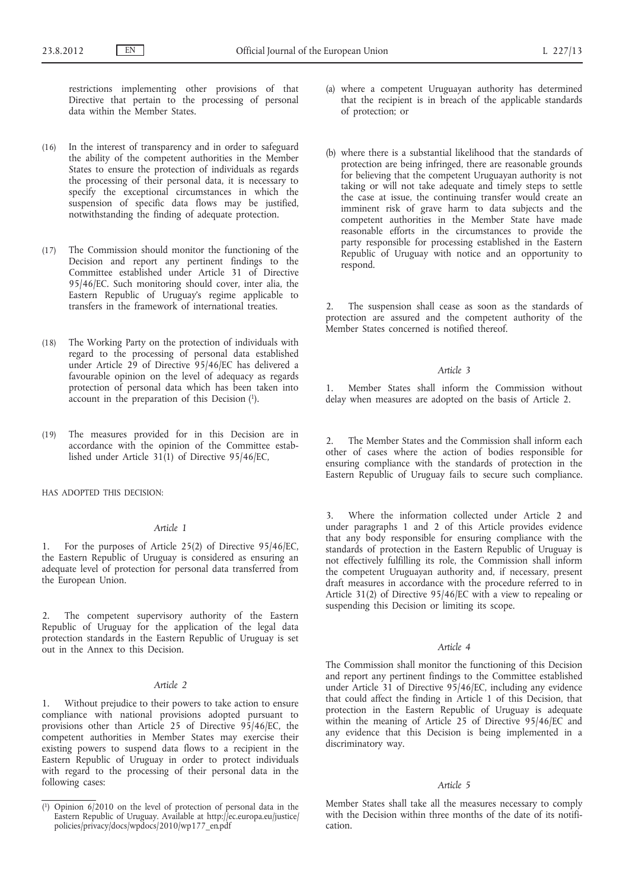restrictions implementing other provisions of that Directive that pertain to the processing of personal data within the Member States.

- (16) In the interest of transparency and in order to safeguard the ability of the competent authorities in the Member States to ensure the protection of individuals as regards the processing of their personal data, it is necessary to specify the exceptional circumstances in which the suspension of specific data flows may be justified, notwithstanding the finding of adequate protection.
- (17) The Commission should monitor the functioning of the Decision and report any pertinent findings to the Committee established under Article 31 of Directive 95/46/EC. Such monitoring should cover, inter alia, the Eastern Republic of Uruguay's regime applicable to transfers in the framework of international treaties.
- (18) The Working Party on the protection of individuals with regard to the processing of personal data established under Article 29 of Directive 95/46/EC has delivered a favourable opinion on the level of adequacy as regards protection of personal data which has been taken into account in the preparation of this Decision (1).
- (19) The measures provided for in this Decision are in accordance with the opinion of the Committee established under Article  $31(1)$  of Directive  $95/46/EC$ ,

HAS ADOPTED THIS DECISION:

## *Article 1*

1. For the purposes of Article 25(2) of Directive 95/46/EC, the Eastern Republic of Uruguay is considered as ensuring an adequate level of protection for personal data transferred from the European Union.

2. The competent supervisory authority of the Eastern Republic of Uruguay for the application of the legal data protection standards in the Eastern Republic of Uruguay is set out in the Annex to this Decision.

#### *Article 2*

1. Without prejudice to their powers to take action to ensure compliance with national provisions adopted pursuant to provisions other than Article 25 of Directive 95/46/EC, the competent authorities in Member States may exercise their existing powers to suspend data flows to a recipient in the Eastern Republic of Uruguay in order to protect individuals with regard to the processing of their personal data in the following cases:

- (a) where a competent Uruguayan authority has determined that the recipient is in breach of the applicable standards of protection; or
- (b) where there is a substantial likelihood that the standards of protection are being infringed, there are reasonable grounds for believing that the competent Uruguayan authority is not taking or will not take adequate and timely steps to settle the case at issue, the continuing transfer would create an imminent risk of grave harm to data subjects and the competent authorities in the Member State have made reasonable efforts in the circumstances to provide the party responsible for processing established in the Eastern Republic of Uruguay with notice and an opportunity to respond.

2. The suspension shall cease as soon as the standards of protection are assured and the competent authority of the Member States concerned is notified thereof.

#### *Article 3*

1. Member States shall inform the Commission without delay when measures are adopted on the basis of Article 2.

2. The Member States and the Commission shall inform each other of cases where the action of bodies responsible for ensuring compliance with the standards of protection in the Eastern Republic of Uruguay fails to secure such compliance.

3. Where the information collected under Article 2 and under paragraphs 1 and 2 of this Article provides evidence that any body responsible for ensuring compliance with the standards of protection in the Eastern Republic of Uruguay is not effectively fulfilling its role, the Commission shall inform the competent Uruguayan authority and, if necessary, present draft measures in accordance with the procedure referred to in Article 31(2) of Directive 95/46/EC with a view to repealing or suspending this Decision or limiting its scope.

#### *Article 4*

The Commission shall monitor the functioning of this Decision and report any pertinent findings to the Committee established under Article 31 of Directive 95/46/EC, including any evidence that could affect the finding in Article 1 of this Decision, that protection in the Eastern Republic of Uruguay is adequate within the meaning of Article 25 of Directive 95/46/EC and any evidence that this Decision is being implemented in a discriminatory way.

#### *Article 5*

Member States shall take all the measures necessary to comply with the Decision within three months of the date of its notification.

<sup>(</sup> 1) Opinion 6/2010 on the level of protection of personal data in the Eastern Republic of Uruguay. Available at [http://ec.europa.eu/justice/](http://ec.europa.eu/justice/policies/privacy/docs/wpdocs/2010/wp177_en.pdf) [policies/privacy/docs/wpdocs/2010/wp177\\_en.pdf](http://ec.europa.eu/justice/policies/privacy/docs/wpdocs/2010/wp177_en.pdf)